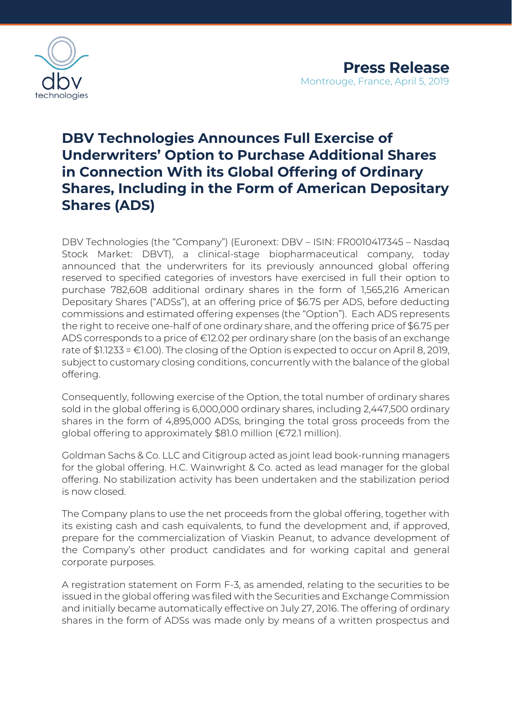

# **DBV Technologies Announces Full Exercise of Underwriters' Option to Purchase Additional Shares in Connection With its Global Offering of Ordinary Shares, Including in the Form of American Depositary Shares (ADS)**

DBV Technologies (the "Company") (Euronext: DBV – ISIN: FR0010417345 – Nasdaq Stock Market: DBVT), a clinical-stage biopharmaceutical company, today announced that the underwriters for its previously announced global offering reserved to specified categories of investors have exercised in full their option to purchase 782,608 additional ordinary shares in the form of 1,565,216 American Depositary Shares ("ADSs"), at an offering price of \$6.75 per ADS, before deducting commissions and estimated offering expenses (the "Option"). Each ADS represents the right to receive one-half of one ordinary share, and the offering price of \$6.75 per ADS corresponds to a price of €12.02 per ordinary share (on the basis of an exchange rate of  $$1.1233 = £1.00$ . The closing of the Option is expected to occur on April 8, 2019, subject to customary closing conditions, concurrently with the balance of the global offering.

Consequently, following exercise of the Option, the total number of ordinary shares sold in the global offering is 6,000,000 ordinary shares, including 2,447,500 ordinary shares in the form of 4,895,000 ADSs, bringing the total gross proceeds from the global offering to approximately \$81.0 million (€72.1 million).

Goldman Sachs & Co. LLC and Citigroup acted as joint lead book-running managers for the global offering. H.C. Wainwright & Co. acted as lead manager for the global offering. No stabilization activity has been undertaken and the stabilization period is now closed.

The Company plans to use the net proceeds from the global offering, together with its existing cash and cash equivalents, to fund the development and, if approved, prepare for the commercialization of Viaskin Peanut, to advance development of the Company's other product candidates and for working capital and general corporate purposes.

A registration statement on Form F-3, as amended, relating to the securities to be issued in the global offering was filed with the Securities and Exchange Commission and initially became automatically effective on July 27, 2016. The offering of ordinary shares in the form of ADSs was made only by means of a written prospectus and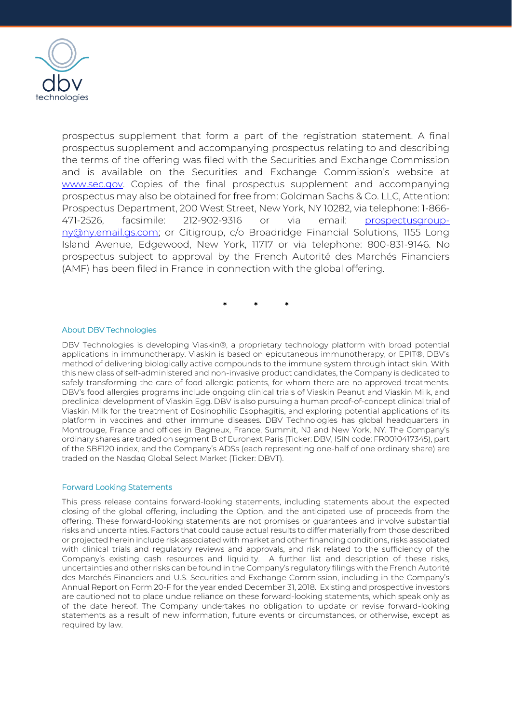

prospectus supplement that form a part of the registration statement. A final prospectus supplement and accompanying prospectus relating to and describing the terms of the offering was filed with the Securities and Exchange Commission and is available on the Securities and Exchange Commission's website at [www.sec.gov.](http://www.sec.gov/) Copies of the final prospectus supplement and accompanying prospectus may also be obtained for free from: Goldman Sachs & Co. LLC, Attention: Prospectus Department, 200 West Street, New York, NY 10282, via telephone: 1-866- 471-2526, facsimile: 212-902-9316 or via email: [prospectusgroup](mailto:prospectusgroup-ny@ny.email.gs.com)[ny@ny.email.gs.com;](mailto:prospectusgroup-ny@ny.email.gs.com) or Citigroup, c/o Broadridge Financial Solutions, 1155 Long Island Avenue, Edgewood, New York, 11717 or via telephone: 800-831-9146. No prospectus subject to approval by the French Autorité des Marchés Financiers (AMF) has been filed in France in connection with the global offering.

\* \* \*

### About DBV Technologies

DBV Technologies is developing Viaskin®, a proprietary technology platform with broad potential applications in immunotherapy. Viaskin is based on epicutaneous immunotherapy, or EPIT®, DBV's method of delivering biologically active compounds to the immune system through intact skin. With this new class of self-administered and non-invasive product candidates, the Company is dedicated to safely transforming the care of food allergic patients, for whom there are no approved treatments. DBV's food allergies programs include ongoing clinical trials of Viaskin Peanut and Viaskin Milk, and preclinical development of Viaskin Egg. DBV is also pursuing a human proof-of-concept clinical trial of Viaskin Milk for the treatment of Eosinophilic Esophagitis, and exploring potential applications of its platform in vaccines and other immune diseases. DBV Technologies has global headquarters in Montrouge, France and offices in Bagneux, France, Summit, NJ and New York, NY. The Company's ordinary shares are traded on segment B of Euronext Paris (Ticker: DBV, ISIN code: FR0010417345), part of the SBF120 index, and the Company's ADSs (each representing one-half of one ordinary share) are traded on the Nasdaq Global Select Market (Ticker: DBVT).

#### Forward Looking Statements

This press release contains forward-looking statements, including statements about the expected closing of the global offering, including the Option, and the anticipated use of proceeds from the offering. These forward-looking statements are not promises or guarantees and involve substantial risks and uncertainties. Factors that could cause actual results to differ materially from those described or projected herein include risk associated with market and other financing conditions, risks associated with clinical trials and regulatory reviews and approvals, and risk related to the sufficiency of the Company's existing cash resources and liquidity. A further list and description of these risks, uncertainties and other risks can be found in the Company's regulatory filings with the French Autorité des Marchés Financiers and U.S. Securities and Exchange Commission, including in the Company's Annual Report on Form 20-F for the year ended December 31, 2018. Existing and prospective investors are cautioned not to place undue reliance on these forward-looking statements, which speak only as of the date hereof. The Company undertakes no obligation to update or revise forward-looking statements as a result of new information, future events or circumstances, or otherwise, except as required by law.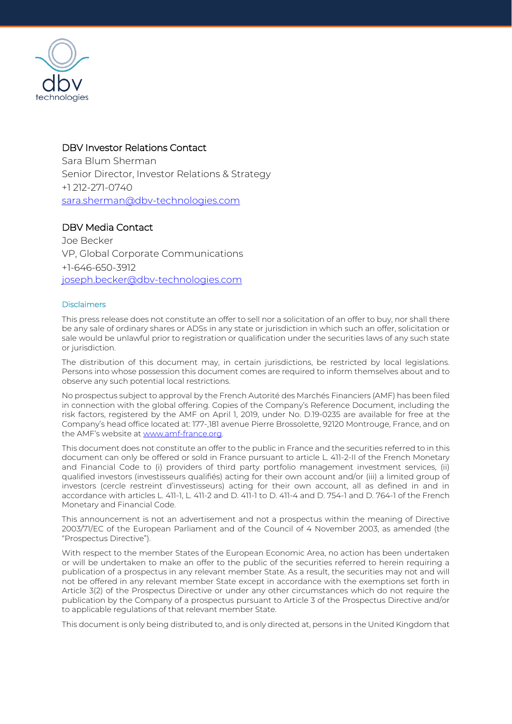

# DBV Investor Relations Contact

Sara Blum Sherman Senior Director, Investor Relations & Strategy +1 212-271-0740 [sara.sherman@dbv-technologies.com](mailto:sara.sherman@dbv-technologies.com)

## DBV Media Contact

Joe Becker VP, Global Corporate Communications +1-646-650-3912 joseph.becker@dbv-technologies.com

### **Disclaimers**

This press release does not constitute an offer to sell nor a solicitation of an offer to buy, nor shall there be any sale of ordinary shares or ADSs in any state or jurisdiction in which such an offer, solicitation or sale would be unlawful prior to registration or qualification under the securities laws of any such state or jurisdiction.

The distribution of this document may, in certain jurisdictions, be restricted by local legislations. Persons into whose possession this document comes are required to inform themselves about and to observe any such potential local restrictions.

No prospectus subject to approval by the French Autorité des Marchés Financiers (AMF) has been filed in connection with the global offering. Copies of the Company's Reference Document, including the risk factors, registered by the AMF on April 1, 2019, under No. D.19-0235 are available for free at the Company's head office located at: 177-,181 avenue Pierre Brossolette, 92120 Montrouge, France, and on the AMF's website at [www.amf-france.org.](http://www.amf-france.org/) 

This document does not constitute an offer to the public in France and the securities referred to in this document can only be offered or sold in France pursuant to article L. 411-2-II of the French Monetary and Financial Code to (i) providers of third party portfolio management investment services, (ii) qualified investors (investisseurs qualifiés) acting for their own account and/or (iii) a limited group of investors (cercle restreint d'investisseurs) acting for their own account, all as defined in and in accordance with articles L. 411-1, L. 411-2 and D. 411-1 to D. 411-4 and D. 754-1 and D. 764-1 of the French Monetary and Financial Code.

This announcement is not an advertisement and not a prospectus within the meaning of Directive 2003/71/EC of the European Parliament and of the Council of 4 November 2003, as amended (the "Prospectus Directive").

With respect to the member States of the European Economic Area, no action has been undertaken or will be undertaken to make an offer to the public of the securities referred to herein requiring a publication of a prospectus in any relevant member State. As a result, the securities may not and will not be offered in any relevant member State except in accordance with the exemptions set forth in Article 3(2) of the Prospectus Directive or under any other circumstances which do not require the publication by the Company of a prospectus pursuant to Article 3 of the Prospectus Directive and/or to applicable regulations of that relevant member State.

This document is only being distributed to, and is only directed at, persons in the United Kingdom that